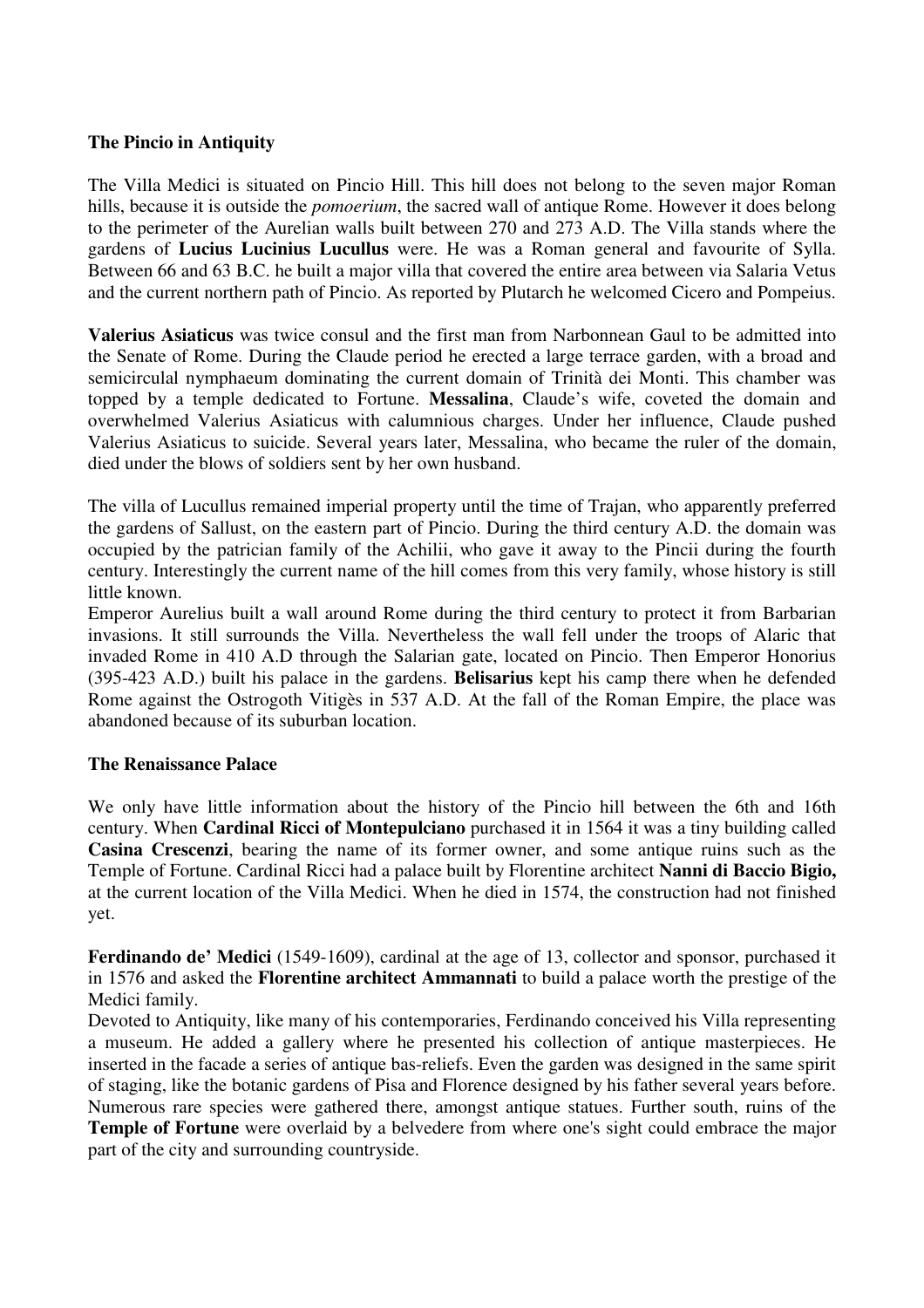### **The Pincio in Antiquity**

The Villa Medici is situated on Pincio Hill. This hill does not belong to the seven major Roman hills, because it is outside the *pomoerium*, the sacred wall of antique Rome. However it does belong to the perimeter of the Aurelian walls built between 270 and 273 A.D. The Villa stands where the gardens of **Lucius Lucinius Lucullus** were. He was a Roman general and favourite of Sylla. Between 66 and 63 B.C. he built a major villa that covered the entire area between via Salaria Vetus and the current northern path of Pincio. As reported by Plutarch he welcomed Cicero and Pompeius.

**Valerius Asiaticus** was twice consul and the first man from Narbonnean Gaul to be admitted into the Senate of Rome. During the Claude period he erected a large terrace garden, with a broad and semicirculal nymphaeum dominating the current domain of Trinità dei Monti. This chamber was topped by a temple dedicated to Fortune. **Messalina**, Claude's wife, coveted the domain and overwhelmed Valerius Asiaticus with calumnious charges. Under her influence, Claude pushed Valerius Asiaticus to suicide. Several years later, Messalina, who became the ruler of the domain, died under the blows of soldiers sent by her own husband.

The villa of Lucullus remained imperial property until the time of Trajan, who apparently preferred the gardens of Sallust, on the eastern part of Pincio. During the third century A.D. the domain was occupied by the patrician family of the Achilii, who gave it away to the Pincii during the fourth century. Interestingly the current name of the hill comes from this very family, whose history is still little known.

Emperor Aurelius built a wall around Rome during the third century to protect it from Barbarian invasions. It still surrounds the Villa. Nevertheless the wall fell under the troops of Alaric that invaded Rome in 410 A.D through the Salarian gate, located on Pincio. Then Emperor Honorius (395-423 A.D.) built his palace in the gardens. **Belisarius** kept his camp there when he defended Rome against the Ostrogoth Vitigès in 537 A.D. At the fall of the Roman Empire, the place was abandoned because of its suburban location.

#### **The Renaissance Palace**

We only have little information about the history of the Pincio hill between the 6th and 16th century. When **Cardinal Ricci of Montepulciano** purchased it in 1564 it was a tiny building called **Casina Crescenzi**, bearing the name of its former owner, and some antique ruins such as the Temple of Fortune. Cardinal Ricci had a palace built by Florentine architect **Nanni di Baccio Bigio,** at the current location of the Villa Medici. When he died in 1574, the construction had not finished yet.

**Ferdinando de' Medici** (1549-1609), cardinal at the age of 13, collector and sponsor, purchased it in 1576 and asked the **Florentine architect Ammannati** to build a palace worth the prestige of the Medici family.

Devoted to Antiquity, like many of his contemporaries, Ferdinando conceived his Villa representing a museum. He added a gallery where he presented his collection of antique masterpieces. He inserted in the facade a series of antique bas-reliefs. Even the garden was designed in the same spirit of staging, like the botanic gardens of Pisa and Florence designed by his father several years before. Numerous rare species were gathered there, amongst antique statues. Further south, ruins of the **Temple of Fortune** were overlaid by a belvedere from where one's sight could embrace the major part of the city and surrounding countryside.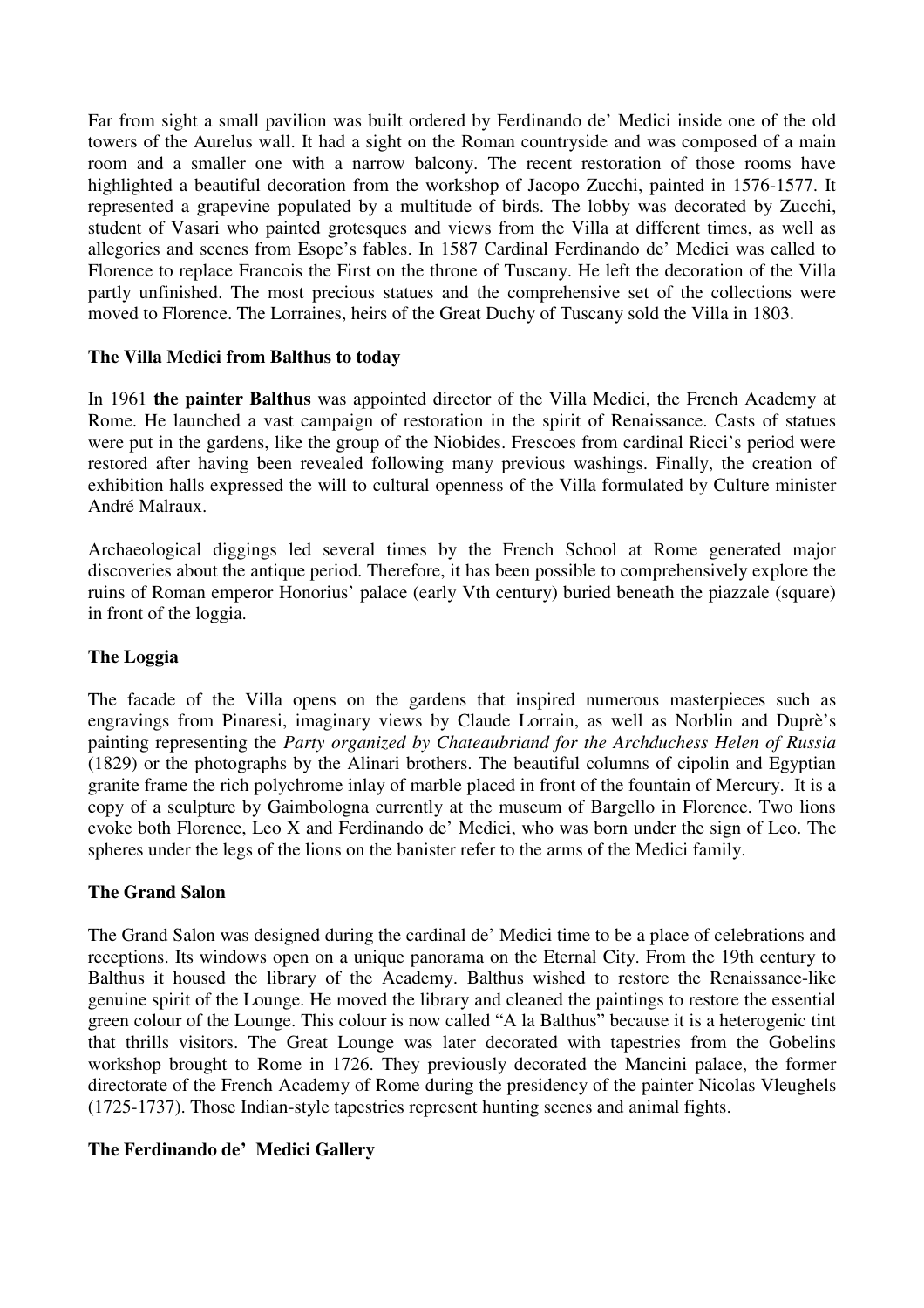Far from sight a small pavilion was built ordered by Ferdinando de' Medici inside one of the old towers of the Aurelus wall. It had a sight on the Roman countryside and was composed of a main room and a smaller one with a narrow balcony. The recent restoration of those rooms have highlighted a beautiful decoration from the workshop of Jacopo Zucchi, painted in 1576-1577. It represented a grapevine populated by a multitude of birds. The lobby was decorated by Zucchi, student of Vasari who painted grotesques and views from the Villa at different times, as well as allegories and scenes from Esope's fables. In 1587 Cardinal Ferdinando de' Medici was called to Florence to replace Francois the First on the throne of Tuscany. He left the decoration of the Villa partly unfinished. The most precious statues and the comprehensive set of the collections were moved to Florence. The Lorraines, heirs of the Great Duchy of Tuscany sold the Villa in 1803.

# **The Villa Medici from Balthus to today**

In 1961 **the painter Balthus** was appointed director of the Villa Medici, the French Academy at Rome. He launched a vast campaign of restoration in the spirit of Renaissance. Casts of statues were put in the gardens, like the group of the Niobides. Frescoes from cardinal Ricci's period were restored after having been revealed following many previous washings. Finally, the creation of exhibition halls expressed the will to cultural openness of the Villa formulated by Culture minister André Malraux.

Archaeological diggings led several times by the French School at Rome generated major discoveries about the antique period. Therefore, it has been possible to comprehensively explore the ruins of Roman emperor Honorius' palace (early Vth century) buried beneath the piazzale (square) in front of the loggia.

#### **The Loggia**

The facade of the Villa opens on the gardens that inspired numerous masterpieces such as engravings from Pinaresi, imaginary views by Claude Lorrain, as well as Norblin and Duprè's painting representing the *Party organized by Chateaubriand for the Archduchess Helen of Russia* (1829) or the photographs by the Alinari brothers. The beautiful columns of cipolin and Egyptian granite frame the rich polychrome inlay of marble placed in front of the fountain of Mercury. It is a copy of a sculpture by Gaimbologna currently at the museum of Bargello in Florence. Two lions evoke both Florence, Leo X and Ferdinando de' Medici, who was born under the sign of Leo. The spheres under the legs of the lions on the banister refer to the arms of the Medici family.

# **The Grand Salon**

The Grand Salon was designed during the cardinal de' Medici time to be a place of celebrations and receptions. Its windows open on a unique panorama on the Eternal City. From the 19th century to Balthus it housed the library of the Academy. Balthus wished to restore the Renaissance-like genuine spirit of the Lounge. He moved the library and cleaned the paintings to restore the essential green colour of the Lounge. This colour is now called "A la Balthus" because it is a heterogenic tint that thrills visitors. The Great Lounge was later decorated with tapestries from the Gobelins workshop brought to Rome in 1726. They previously decorated the Mancini palace, the former directorate of the French Academy of Rome during the presidency of the painter Nicolas Vleughels (1725-1737). Those Indian-style tapestries represent hunting scenes and animal fights.

#### **The Ferdinando de' Medici Gallery**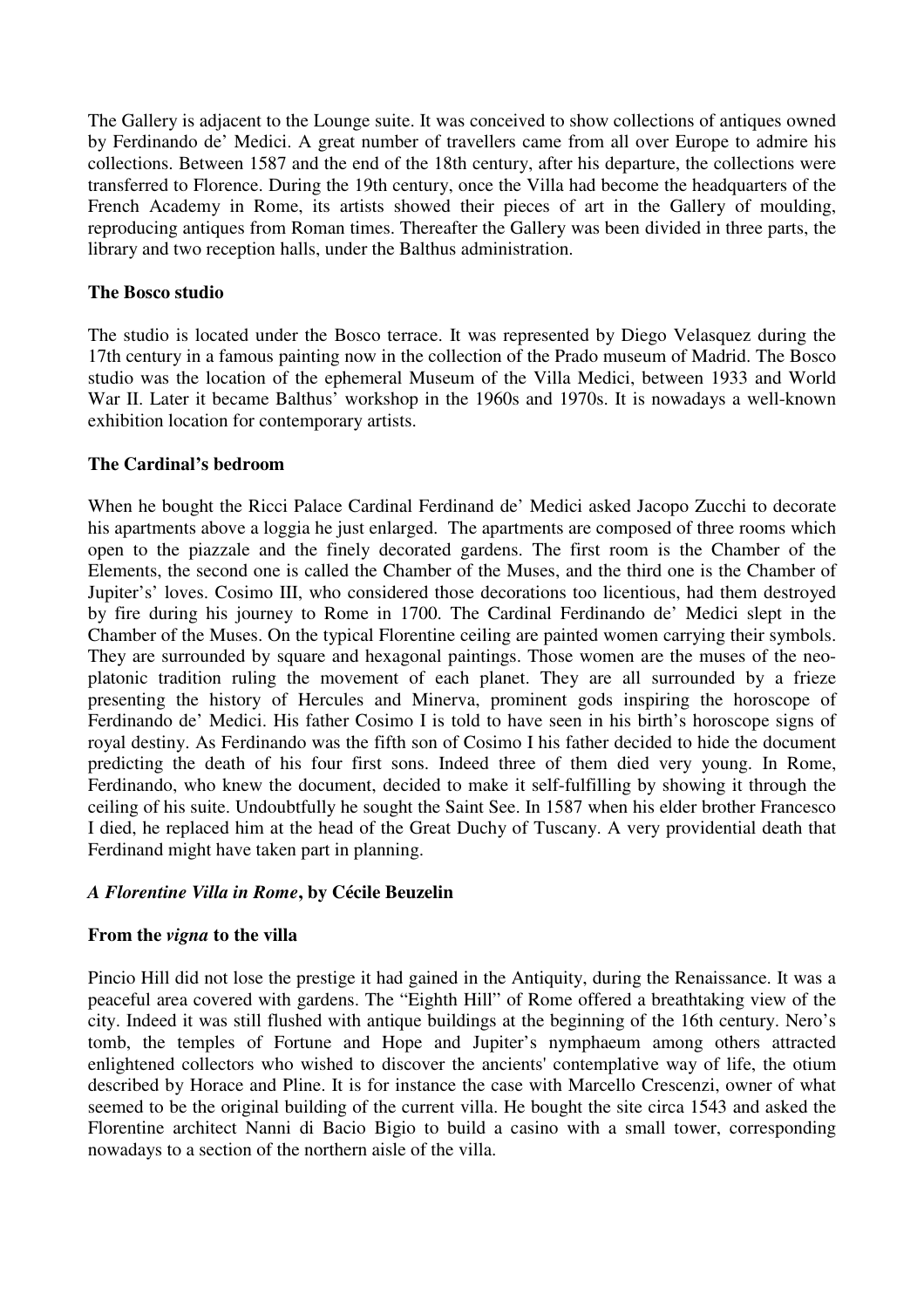The Gallery is adjacent to the Lounge suite. It was conceived to show collections of antiques owned by Ferdinando de' Medici. A great number of travellers came from all over Europe to admire his collections. Between 1587 and the end of the 18th century, after his departure, the collections were transferred to Florence. During the 19th century, once the Villa had become the headquarters of the French Academy in Rome, its artists showed their pieces of art in the Gallery of moulding, reproducing antiques from Roman times. Thereafter the Gallery was been divided in three parts, the library and two reception halls, under the Balthus administration.

### **The Bosco studio**

The studio is located under the Bosco terrace. It was represented by Diego Velasquez during the 17th century in a famous painting now in the collection of the Prado museum of Madrid. The Bosco studio was the location of the ephemeral Museum of the Villa Medici, between 1933 and World War II. Later it became Balthus' workshop in the 1960s and 1970s. It is nowadays a well-known exhibition location for contemporary artists.

### **The Cardinal's bedroom**

When he bought the Ricci Palace Cardinal Ferdinand de' Medici asked Jacopo Zucchi to decorate his apartments above a loggia he just enlarged. The apartments are composed of three rooms which open to the piazzale and the finely decorated gardens. The first room is the Chamber of the Elements, the second one is called the Chamber of the Muses, and the third one is the Chamber of Jupiter's' loves. Cosimo III, who considered those decorations too licentious, had them destroyed by fire during his journey to Rome in 1700. The Cardinal Ferdinando de' Medici slept in the Chamber of the Muses. On the typical Florentine ceiling are painted women carrying their symbols. They are surrounded by square and hexagonal paintings. Those women are the muses of the neoplatonic tradition ruling the movement of each planet. They are all surrounded by a frieze presenting the history of Hercules and Minerva, prominent gods inspiring the horoscope of Ferdinando de' Medici. His father Cosimo I is told to have seen in his birth's horoscope signs of royal destiny. As Ferdinando was the fifth son of Cosimo I his father decided to hide the document predicting the death of his four first sons. Indeed three of them died very young. In Rome, Ferdinando, who knew the document, decided to make it self-fulfilling by showing it through the ceiling of his suite. Undoubtfully he sought the Saint See. In 1587 when his elder brother Francesco I died, he replaced him at the head of the Great Duchy of Tuscany. A very providential death that Ferdinand might have taken part in planning.

# *A Florentine Villa in Rome***, by Cécile Beuzelin**

#### **From the** *vigna* **to the villa**

Pincio Hill did not lose the prestige it had gained in the Antiquity, during the Renaissance. It was a peaceful area covered with gardens. The "Eighth Hill" of Rome offered a breathtaking view of the city. Indeed it was still flushed with antique buildings at the beginning of the 16th century. Nero's tomb, the temples of Fortune and Hope and Jupiter's nymphaeum among others attracted enlightened collectors who wished to discover the ancients' contemplative way of life, the otium described by Horace and Pline. It is for instance the case with Marcello Crescenzi, owner of what seemed to be the original building of the current villa. He bought the site circa 1543 and asked the Florentine architect Nanni di Bacio Bigio to build a casino with a small tower, corresponding nowadays to a section of the northern aisle of the villa.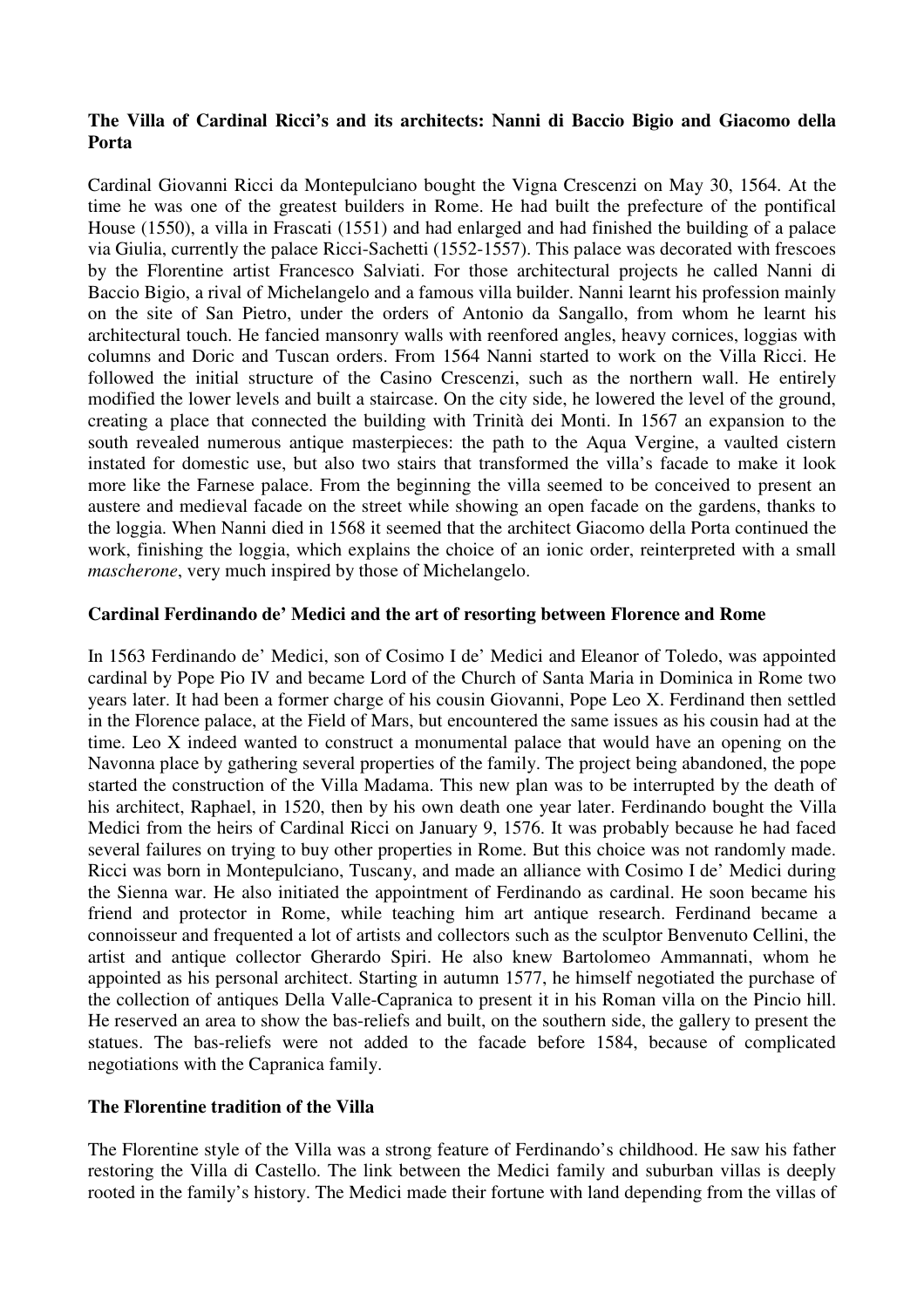# **The Villa of Cardinal Ricci's and its architects: Nanni di Baccio Bigio and Giacomo della Porta**

Cardinal Giovanni Ricci da Montepulciano bought the Vigna Crescenzi on May 30, 1564. At the time he was one of the greatest builders in Rome. He had built the prefecture of the pontifical House (1550), a villa in Frascati (1551) and had enlarged and had finished the building of a palace via Giulia, currently the palace Ricci-Sachetti (1552-1557). This palace was decorated with frescoes by the Florentine artist Francesco Salviati. For those architectural projects he called Nanni di Baccio Bigio, a rival of Michelangelo and a famous villa builder. Nanni learnt his profession mainly on the site of San Pietro, under the orders of Antonio da Sangallo, from whom he learnt his architectural touch. He fancied mansonry walls with reenfored angles, heavy cornices, loggias with columns and Doric and Tuscan orders. From 1564 Nanni started to work on the Villa Ricci. He followed the initial structure of the Casino Crescenzi, such as the northern wall. He entirely modified the lower levels and built a staircase. On the city side, he lowered the level of the ground, creating a place that connected the building with Trinità dei Monti. In 1567 an expansion to the south revealed numerous antique masterpieces: the path to the Aqua Vergine, a vaulted cistern instated for domestic use, but also two stairs that transformed the villa's facade to make it look more like the Farnese palace. From the beginning the villa seemed to be conceived to present an austere and medieval facade on the street while showing an open facade on the gardens, thanks to the loggia. When Nanni died in 1568 it seemed that the architect Giacomo della Porta continued the work, finishing the loggia, which explains the choice of an ionic order, reinterpreted with a small *mascherone*, very much inspired by those of Michelangelo.

# **Cardinal Ferdinando de' Medici and the art of resorting between Florence and Rome**

In 1563 Ferdinando de' Medici, son of Cosimo I de' Medici and Eleanor of Toledo, was appointed cardinal by Pope Pio IV and became Lord of the Church of Santa Maria in Dominica in Rome two years later. It had been a former charge of his cousin Giovanni, Pope Leo X. Ferdinand then settled in the Florence palace, at the Field of Mars, but encountered the same issues as his cousin had at the time. Leo X indeed wanted to construct a monumental palace that would have an opening on the Navonna place by gathering several properties of the family. The project being abandoned, the pope started the construction of the Villa Madama. This new plan was to be interrupted by the death of his architect, Raphael, in 1520, then by his own death one year later. Ferdinando bought the Villa Medici from the heirs of Cardinal Ricci on January 9, 1576. It was probably because he had faced several failures on trying to buy other properties in Rome. But this choice was not randomly made. Ricci was born in Montepulciano, Tuscany, and made an alliance with Cosimo I de' Medici during the Sienna war. He also initiated the appointment of Ferdinando as cardinal. He soon became his friend and protector in Rome, while teaching him art antique research. Ferdinand became a connoisseur and frequented a lot of artists and collectors such as the sculptor Benvenuto Cellini, the artist and antique collector Gherardo Spiri. He also knew Bartolomeo Ammannati, whom he appointed as his personal architect. Starting in autumn 1577, he himself negotiated the purchase of the collection of antiques Della Valle-Capranica to present it in his Roman villa on the Pincio hill. He reserved an area to show the bas-reliefs and built, on the southern side, the gallery to present the statues. The bas-reliefs were not added to the facade before 1584, because of complicated negotiations with the Capranica family.

# **The Florentine tradition of the Villa**

The Florentine style of the Villa was a strong feature of Ferdinando's childhood. He saw his father restoring the Villa di Castello. The link between the Medici family and suburban villas is deeply rooted in the family's history. The Medici made their fortune with land depending from the villas of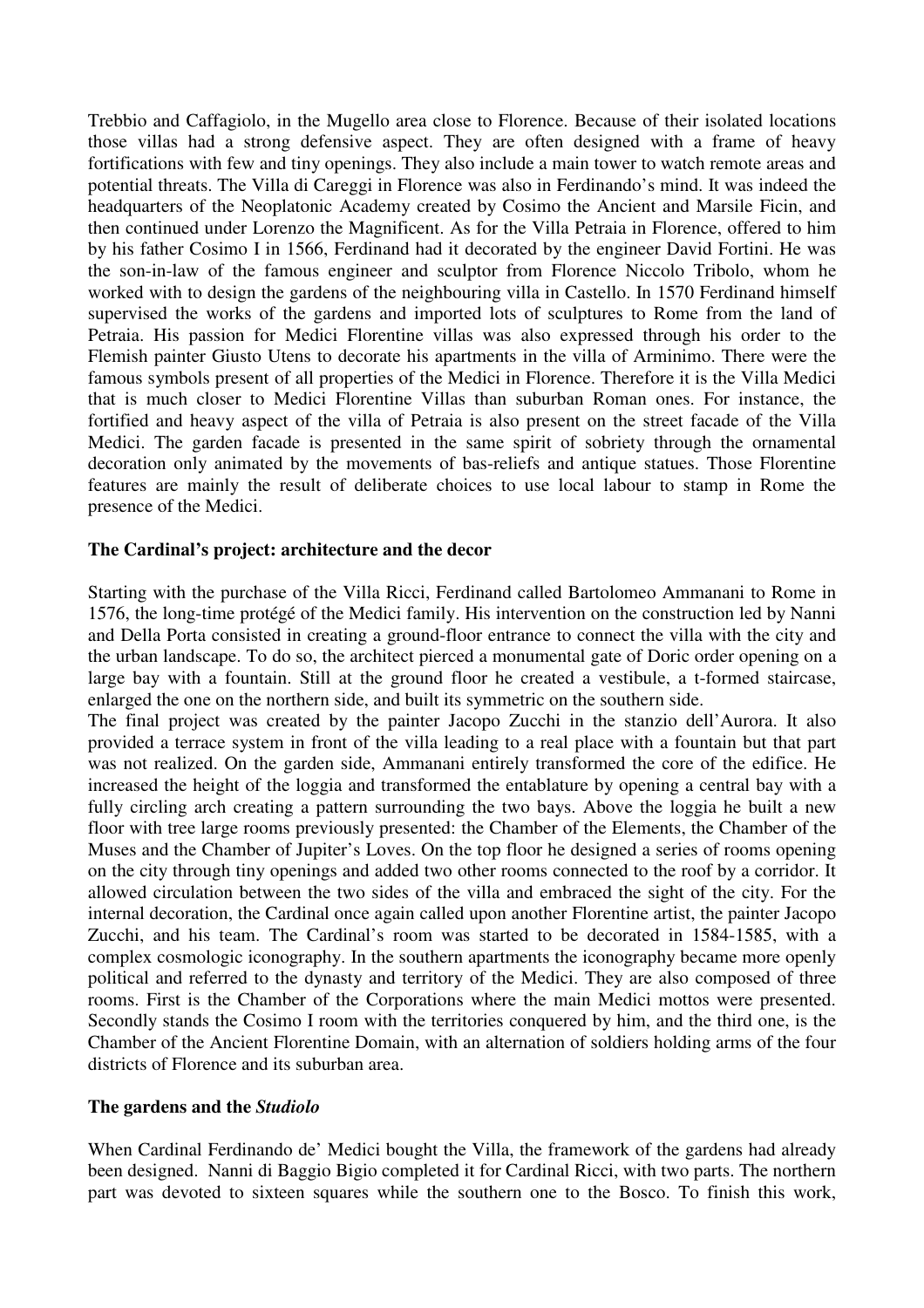Trebbio and Caffagiolo, in the Mugello area close to Florence. Because of their isolated locations those villas had a strong defensive aspect. They are often designed with a frame of heavy fortifications with few and tiny openings. They also include a main tower to watch remote areas and potential threats. The Villa di Careggi in Florence was also in Ferdinando's mind. It was indeed the headquarters of the Neoplatonic Academy created by Cosimo the Ancient and Marsile Ficin, and then continued under Lorenzo the Magnificent. As for the Villa Petraia in Florence, offered to him by his father Cosimo I in 1566, Ferdinand had it decorated by the engineer David Fortini. He was the son-in-law of the famous engineer and sculptor from Florence Niccolo Tribolo, whom he worked with to design the gardens of the neighbouring villa in Castello. In 1570 Ferdinand himself supervised the works of the gardens and imported lots of sculptures to Rome from the land of Petraia. His passion for Medici Florentine villas was also expressed through his order to the Flemish painter Giusto Utens to decorate his apartments in the villa of Arminimo. There were the famous symbols present of all properties of the Medici in Florence. Therefore it is the Villa Medici that is much closer to Medici Florentine Villas than suburban Roman ones. For instance, the fortified and heavy aspect of the villa of Petraia is also present on the street facade of the Villa Medici. The garden facade is presented in the same spirit of sobriety through the ornamental decoration only animated by the movements of bas-reliefs and antique statues. Those Florentine features are mainly the result of deliberate choices to use local labour to stamp in Rome the presence of the Medici.

#### **The Cardinal's project: architecture and the decor**

Starting with the purchase of the Villa Ricci, Ferdinand called Bartolomeo Ammanani to Rome in 1576, the long-time protégé of the Medici family. His intervention on the construction led by Nanni and Della Porta consisted in creating a ground-floor entrance to connect the villa with the city and the urban landscape. To do so, the architect pierced a monumental gate of Doric order opening on a large bay with a fountain. Still at the ground floor he created a vestibule, a t-formed staircase, enlarged the one on the northern side, and built its symmetric on the southern side.

The final project was created by the painter Jacopo Zucchi in the stanzio dell'Aurora. It also provided a terrace system in front of the villa leading to a real place with a fountain but that part was not realized. On the garden side, Ammanani entirely transformed the core of the edifice. He increased the height of the loggia and transformed the entablature by opening a central bay with a fully circling arch creating a pattern surrounding the two bays. Above the loggia he built a new floor with tree large rooms previously presented: the Chamber of the Elements, the Chamber of the Muses and the Chamber of Jupiter's Loves. On the top floor he designed a series of rooms opening on the city through tiny openings and added two other rooms connected to the roof by a corridor. It allowed circulation between the two sides of the villa and embraced the sight of the city. For the internal decoration, the Cardinal once again called upon another Florentine artist, the painter Jacopo Zucchi, and his team. The Cardinal's room was started to be decorated in 1584-1585, with a complex cosmologic iconography. In the southern apartments the iconography became more openly political and referred to the dynasty and territory of the Medici. They are also composed of three rooms. First is the Chamber of the Corporations where the main Medici mottos were presented. Secondly stands the Cosimo I room with the territories conquered by him, and the third one, is the Chamber of the Ancient Florentine Domain, with an alternation of soldiers holding arms of the four districts of Florence and its suburban area.

#### **The gardens and the** *Studiolo*

When Cardinal Ferdinando de' Medici bought the Villa, the framework of the gardens had already been designed. Nanni di Baggio Bigio completed it for Cardinal Ricci, with two parts. The northern part was devoted to sixteen squares while the southern one to the Bosco. To finish this work,